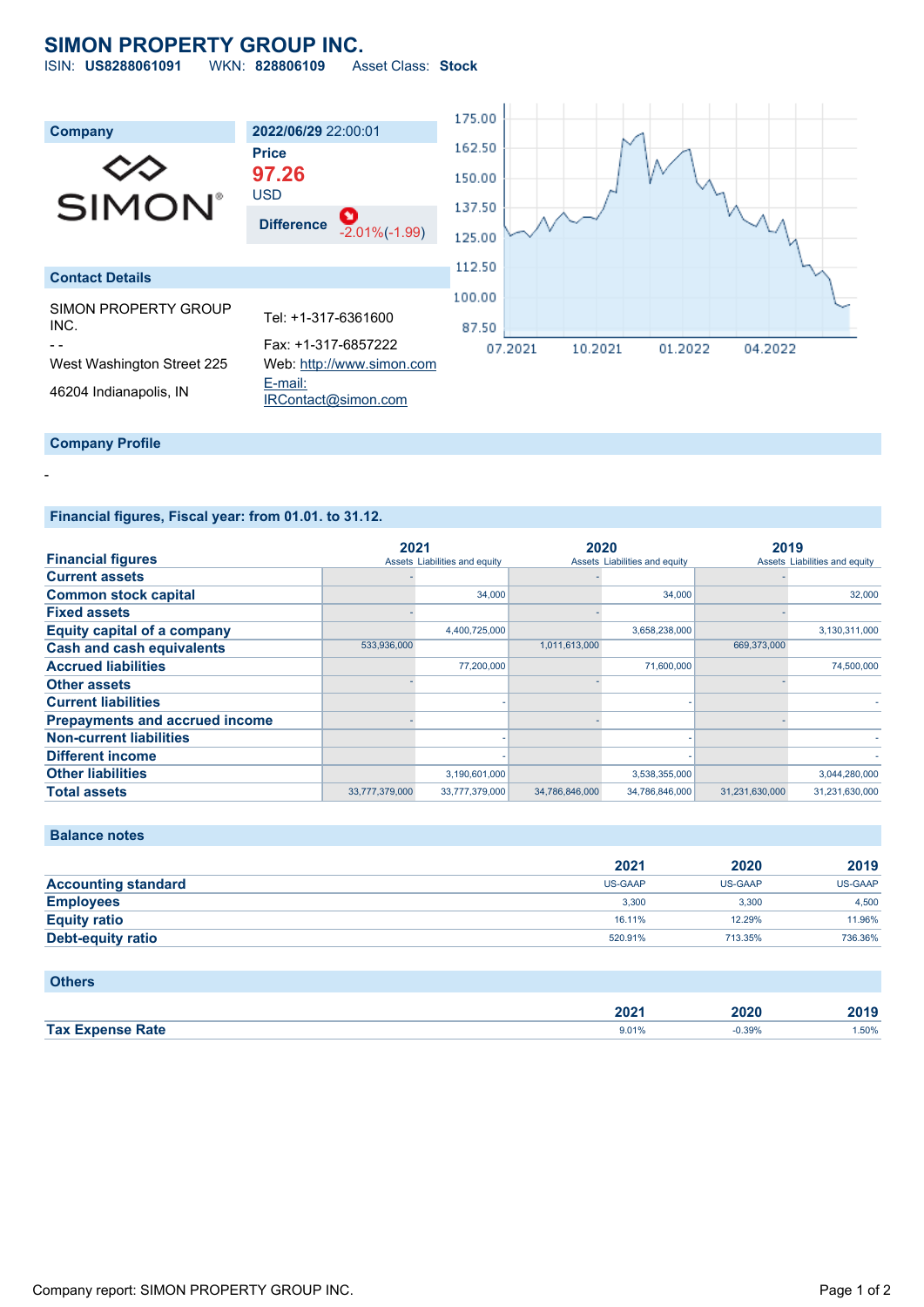# **SIMON PROPERTY GROUP INC.**

ISIN: **US8288061091** WKN: **828806109** Asset Class: **Stock**



## **Financial figures, Fiscal year: from 01.01. to 31.12.**

|                                       | 2021           |                               | 2020           |                               | 2019           |                               |
|---------------------------------------|----------------|-------------------------------|----------------|-------------------------------|----------------|-------------------------------|
| <b>Financial figures</b>              |                | Assets Liabilities and equity |                | Assets Liabilities and equity |                | Assets Liabilities and equity |
| <b>Current assets</b>                 |                |                               |                |                               |                |                               |
| <b>Common stock capital</b>           |                | 34,000                        |                | 34,000                        |                | 32,000                        |
| <b>Fixed assets</b>                   |                |                               |                |                               |                |                               |
| <b>Equity capital of a company</b>    |                | 4,400,725,000                 |                | 3,658,238,000                 |                | 3,130,311,000                 |
| <b>Cash and cash equivalents</b>      | 533,936,000    |                               | 1,011,613,000  |                               | 669,373,000    |                               |
| <b>Accrued liabilities</b>            |                | 77,200,000                    |                | 71,600,000                    |                | 74,500,000                    |
| <b>Other assets</b>                   |                |                               |                |                               |                |                               |
| <b>Current liabilities</b>            |                |                               |                |                               |                |                               |
| <b>Prepayments and accrued income</b> |                |                               |                |                               |                |                               |
| <b>Non-current liabilities</b>        |                |                               |                |                               |                |                               |
| <b>Different income</b>               |                |                               |                |                               |                |                               |
| <b>Other liabilities</b>              |                | 3,190,601,000                 |                | 3,538,355,000                 |                | 3,044,280,000                 |
| <b>Total assets</b>                   | 33,777,379,000 | 33,777,379,000                | 34,786,846,000 | 34,786,846,000                | 31,231,630,000 | 31,231,630,000                |

#### **Balance notes**

-

|                            | 2021    | 2020    | 2019    |
|----------------------------|---------|---------|---------|
| <b>Accounting standard</b> | US-GAAP | US-GAAP | US-GAAP |
| <b>Employees</b>           | 3.300   | 3.300   | 4.500   |
| <b>Equity ratio</b>        | 16.11%  | 12.29%  | 11.96%  |
| <b>Debt-equity ratio</b>   | 520.91% | 713.35% | 736.36% |

## **Others**

|              | ימחה<br>ZUZ | חכחנ  |      |
|--------------|-------------|-------|------|
| <b>Tax E</b> | 9.01%       | 0.39% | .50% |
|              |             |       |      |